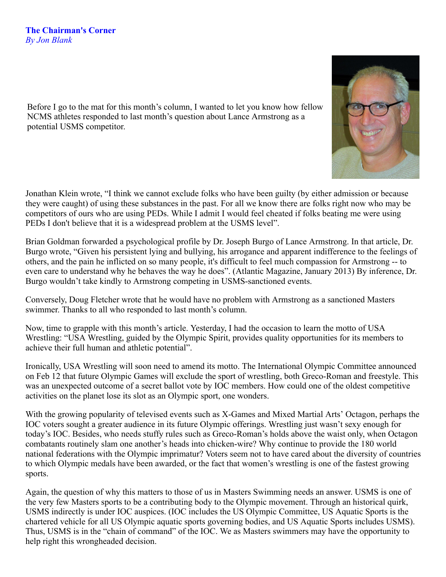Before I go to the mat for this month's column, I wanted to let you know how fellow NCMS athletes responded to last month's question about Lance Armstrong as a potential USMS competitor.

Jonathan Klein wrote, "I think we cannot exclude folks who have been guilty (by either admission or because they were caught) of using these substances in the past. For all we know there are folks right now who may be competitors of ours who are using PEDs. While I admit I would feel cheated if folks beating me were using PEDs I don't believe that it is a widespread problem at the USMS level".

Brian Goldman forwarded a psychological profile by Dr. Joseph Burgo of Lance Armstrong. In that article, Dr. Burgo wrote, "Given his persistent lying and bullying, his arrogance and apparent indifference to the feelings of others, and the pain he inflicted on so many people, it's difficult to feel much compassion for Armstrong -- to even care to understand why he behaves the way he does". (Atlantic Magazine, January 2013) By inference, Dr. Burgo wouldn't take kindly to Armstrong competing in USMS-sanctioned events.

Conversely, Doug Fletcher wrote that he would have no problem with Armstrong as a sanctioned Masters swimmer. Thanks to all who responded to last month's column.

Now, time to grapple with this month's article. Yesterday, I had the occasion to learn the motto of USA Wrestling: "USA Wrestling, guided by the Olympic Spirit, provides quality opportunities for its members to achieve their full human and athletic potential".

Ironically, USA Wrestling will soon need to amend its motto. The International Olympic Committee announced on Feb 12 that future Olympic Games will exclude the sport of wrestling, both Greco-Roman and freestyle. This was an unexpected outcome of a secret ballot vote by IOC members. How could one of the oldest competitive activities on the planet lose its slot as an Olympic sport, one wonders.

With the growing popularity of televised events such as X-Games and Mixed Martial Arts' Octagon, perhaps the IOC voters sought a greater audience in its future Olympic offerings. Wrestling just wasn't sexy enough for today's IOC. Besides, who needs stuffy rules such as Greco-Roman's holds above the waist only, when Octagon combatants routinely slam one another's heads into chicken-wire? Why continue to provide the 180 world national federations with the Olympic imprimatur? Voters seem not to have cared about the diversity of countries to which Olympic medals have been awarded, or the fact that women's wrestling is one of the fastest growing sports.

Again, the question of why this matters to those of us in Masters Swimming needs an answer. USMS is one of the very few Masters sports to be a contributing body to the Olympic movement. Through an historical quirk, USMS indirectly is under IOC auspices. (IOC includes the US Olympic Committee, US Aquatic Sports is the chartered vehicle for all US Olympic aquatic sports governing bodies, and US Aquatic Sports includes USMS). Thus, USMS is in the "chain of command" of the IOC. We as Masters swimmers may have the opportunity to help right this wrongheaded decision.